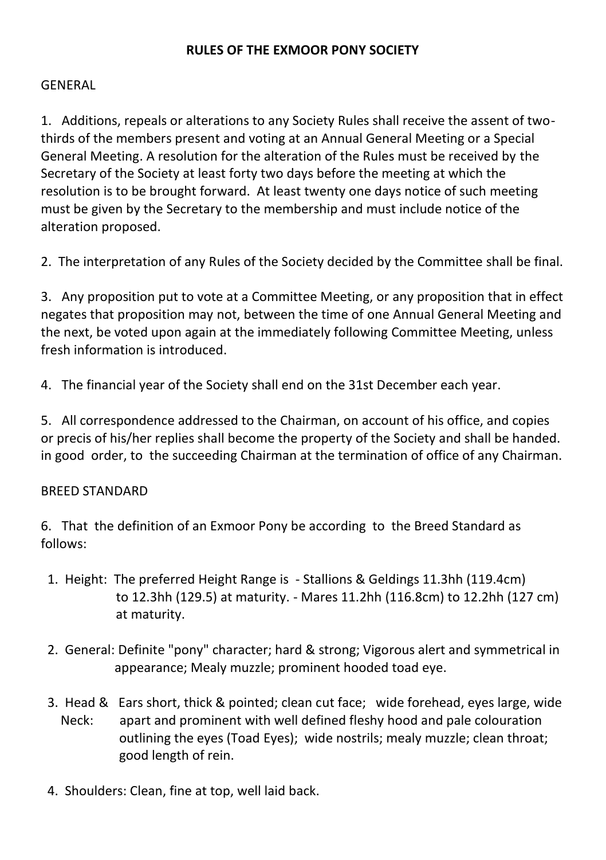### **RULES OF THE EXMOOR PONY SOCIETY**

#### **GENERAL**

1. Additions, repeals or alterations to any Society Rules shall receive the assent of twothirds of the members present and voting at an Annual General Meeting or a Special General Meeting. A resolution for the alteration of the Rules must be received by the Secretary of the Society at least forty two days before the meeting at which the resolution is to be brought forward. At least twenty one days notice of such meeting must be given by the Secretary to the membership and must include notice of the alteration proposed.

2. The interpretation of any Rules of the Society decided by the Committee shall be final.

3. Any proposition put to vote at a Committee Meeting, or any proposition that in effect negates that proposition may not, between the time of one Annual General Meeting and the next, be voted upon again at the immediately following Committee Meeting, unless fresh information is introduced.

4. The financial year of the Society shall end on the 31st December each year.

5. All correspondence addressed to the Chairman, on account of his office, and copies or precis of his/her replies shall become the property of the Society and shall be handed. in good order, to the succeeding Chairman at the termination of office of any Chairman.

#### BREED STANDARD

6. That the definition of an Exmoor Pony be according to the Breed Standard as follows:

- 1. Height: The preferred Height Range is Stallions & Geldings 11.3hh (119.4cm) to 12.3hh (129.5) at maturity. - Mares 11.2hh (116.8cm) to 12.2hh (127 cm) at maturity.
- 2. General: Definite "pony" character; hard & strong; Vigorous alert and symmetrical in appearance; Mealy muzzle; prominent hooded toad eye.
- 3. Head & Ears short, thick & pointed; clean cut face; wide forehead, eyes large, wide Neck: apart and prominent with well defined fleshy hood and pale colouration outlining the eyes (Toad Eyes); wide nostrils; mealy muzzle; clean throat; good length of rein.
- 4. Shoulders: Clean, fine at top, well laid back.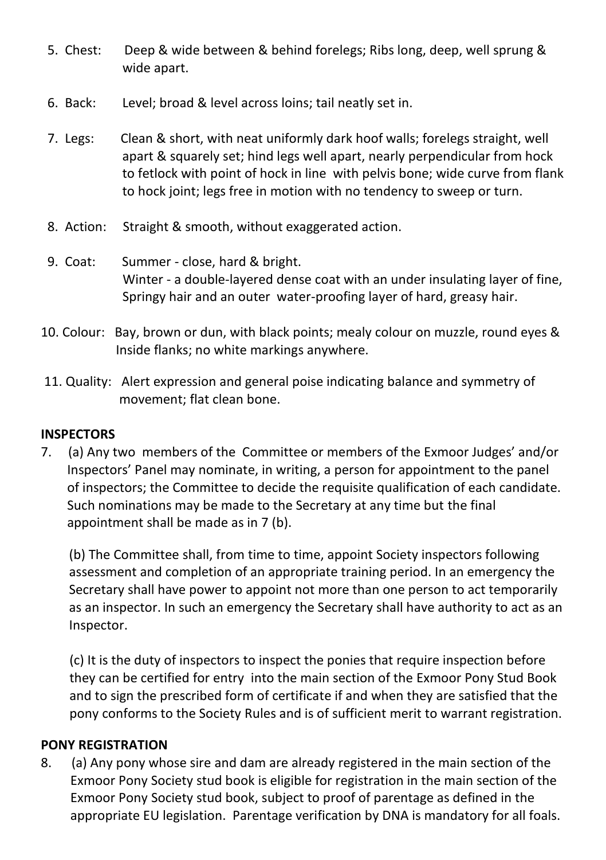- 5. Chest: Deep & wide between & behind forelegs; Ribs long, deep, well sprung & wide apart.
- 6. Back: Level; broad & level across loins; tail neatly set in.
- 7. Legs: Clean & short, with neat uniformly dark hoof walls; forelegs straight, well apart & squarely set; hind legs well apart, nearly perpendicular from hock to fetlock with point of hock in line with pelvis bone; wide curve from flank to hock joint; legs free in motion with no tendency to sweep or turn.
- 8. Action: Straight & smooth, without exaggerated action.
- 9. Coat: Summer close, hard & bright. Winter - a double-layered dense coat with an under insulating layer of fine, Springy hair and an outer water-proofing layer of hard, greasy hair.
- 10. Colour: Bay, brown or dun, with black points; mealy colour on muzzle, round eyes & Inside flanks; no white markings anywhere.
- 11. Quality: Alert expression and general poise indicating balance and symmetry of movement; flat clean bone.

## **INSPECTORS**

7. (a) Any two members of the Committee or members of the Exmoor Judges' and/or Inspectors' Panel may nominate, in writing, a person for appointment to the panel of inspectors; the Committee to decide the requisite qualification of each candidate. Such nominations may be made to the Secretary at any time but the final appointment shall be made as in 7 (b).

(b) The Committee shall, from time to time, appoint Society inspectors following assessment and completion of an appropriate training period. In an emergency the Secretary shall have power to appoint not more than one person to act temporarily as an inspector. In such an emergency the Secretary shall have authority to act as an Inspector.

(c) It is the duty of inspectors to inspect the ponies that require inspection before they can be certified for entry into the main section of the Exmoor Pony Stud Book and to sign the prescribed form of certificate if and when they are satisfied that the pony conforms to the Society Rules and is of sufficient merit to warrant registration.

#### **PONY REGISTRATION**

8. (a) Any pony whose sire and dam are already registered in the main section of the Exmoor Pony Society stud book is eligible for registration in the main section of the Exmoor Pony Society stud book, subject to proof of parentage as defined in the appropriate EU legislation. Parentage verification by DNA is mandatory for all foals.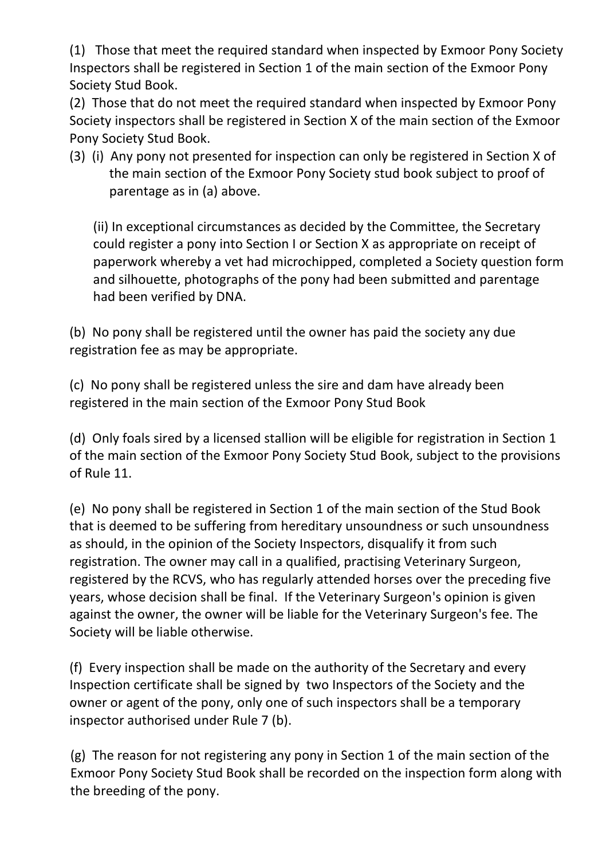(1) Those that meet the required standard when inspected by Exmoor Pony Society Inspectors shall be registered in Section 1 of the main section of the Exmoor Pony Society Stud Book.

(2) Those that do not meet the required standard when inspected by Exmoor Pony Society inspectors shall be registered in Section X of the main section of the Exmoor Pony Society Stud Book.

(3) (i) Any pony not presented for inspection can only be registered in Section X of the main section of the Exmoor Pony Society stud book subject to proof of parentage as in (a) above.

 (ii) In exceptional circumstances as decided by the Committee, the Secretary could register a pony into Section I or Section X as appropriate on receipt of paperwork whereby a vet had microchipped, completed a Society question form and silhouette, photographs of the pony had been submitted and parentage had been verified by DNA.

(b) No pony shall be registered until the owner has paid the society any due registration fee as may be appropriate.

(c) No pony shall be registered unless the sire and dam have already been registered in the main section of the Exmoor Pony Stud Book

(d) Only foals sired by a licensed stallion will be eligible for registration in Section 1 of the main section of the Exmoor Pony Society Stud Book, subject to the provisions of Rule 11.

(e) No pony shall be registered in Section 1 of the main section of the Stud Book that is deemed to be suffering from hereditary unsoundness or such unsoundness as should, in the opinion of the Society Inspectors, disqualify it from such registration. The owner may call in a qualified, practising Veterinary Surgeon, registered by the RCVS, who has regularly attended horses over the preceding five years, whose decision shall be final. If the Veterinary Surgeon's opinion is given against the owner, the owner will be liable for the Veterinary Surgeon's fee. The Society will be liable otherwise.

(f) Every inspection shall be made on the authority of the Secretary and every Inspection certificate shall be signed by two Inspectors of the Society and the owner or agent of the pony, only one of such inspectors shall be a temporary inspector authorised under Rule 7 (b).

 (g) The reason for not registering any pony in Section 1 of the main section of the Exmoor Pony Society Stud Book shall be recorded on the inspection form along with the breeding of the pony.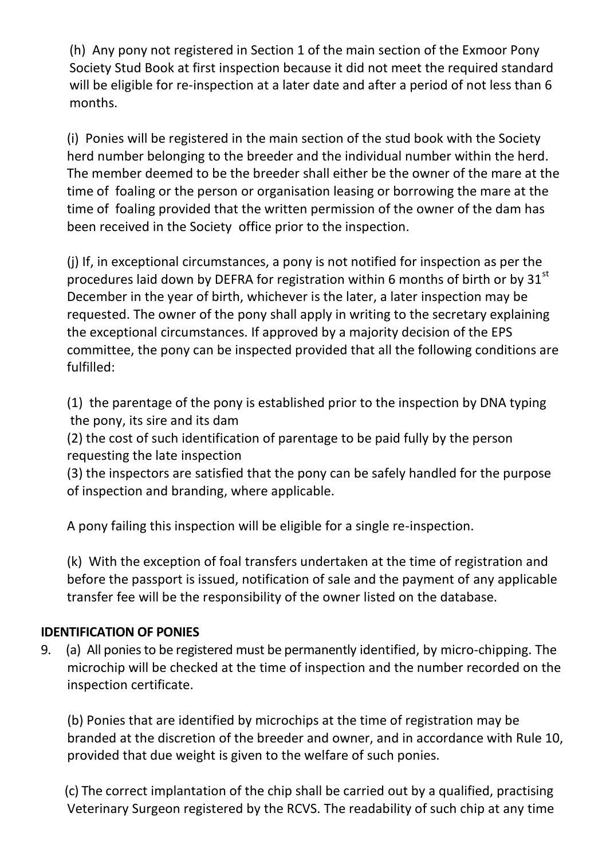(h) Any pony not registered in Section 1 of the main section of the Exmoor Pony Society Stud Book at first inspection because it did not meet the required standard will be eligible for re-inspection at a later date and after a period of not less than 6 months.

(i) Ponies will be registered in the main section of the stud book with the Society herd number belonging to the breeder and the individual number within the herd. The member deemed to be the breeder shall either be the owner of the mare at the time of foaling or the person or organisation leasing or borrowing the mare at the time of foaling provided that the written permission of the owner of the dam has been received in the Society office prior to the inspection.

(j) If, in exceptional circumstances, a pony is not notified for inspection as per the procedures laid down by DEFRA for registration within 6 months of birth or by  $31<sup>st</sup>$ December in the year of birth, whichever is the later, a later inspection may be requested. The owner of the pony shall apply in writing to the secretary explaining the exceptional circumstances. If approved by a majority decision of the EPS committee, the pony can be inspected provided that all the following conditions are fulfilled:

(1) the parentage of the pony is established prior to the inspection by DNA typing the pony, its sire and its dam

(2) the cost of such identification of parentage to be paid fully by the person requesting the late inspection

(3) the inspectors are satisfied that the pony can be safely handled for the purpose of inspection and branding, where applicable.

A pony failing this inspection will be eligible for a single re-inspection.

(k) With the exception of foal transfers undertaken at the time of registration and before the passport is issued, notification of sale and the payment of any applicable transfer fee will be the responsibility of the owner listed on the database.

# **IDENTIFICATION OF PONIES**

9. (a) All ponies to be registered must be permanently identified, by micro-chipping. The microchip will be checked at the time of inspection and the number recorded on the inspection certificate.

 (b) Ponies that are identified by microchips at the time of registration may be branded at the discretion of the breeder and owner, and in accordance with Rule 10, provided that due weight is given to the welfare of such ponies.

 (c) The correct implantation of the chip shall be carried out by a qualified, practising Veterinary Surgeon registered by the RCVS. The readability of such chip at any time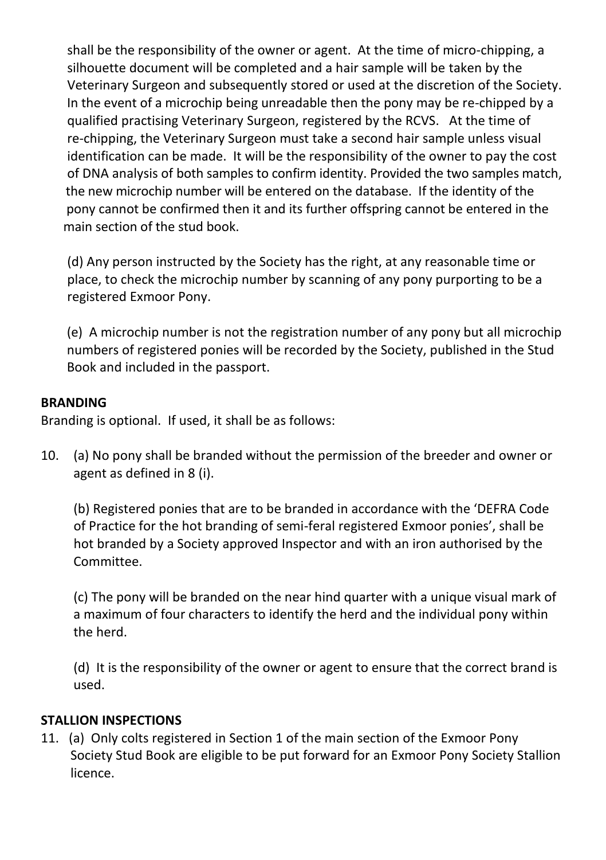shall be the responsibility of the owner or agent. At the time of micro-chipping, a silhouette document will be completed and a hair sample will be taken by the Veterinary Surgeon and subsequently stored or used at the discretion of the Society. In the event of a microchip being unreadable then the pony may be re-chipped by a qualified practising Veterinary Surgeon, registered by the RCVS. At the time of re-chipping, the Veterinary Surgeon must take a second hair sample unless visual identification can be made. It will be the responsibility of the owner to pay the cost of DNA analysis of both samples to confirm identity. Provided the two samples match, the new microchip number will be entered on the database. If the identity of the pony cannot be confirmed then it and its further offspring cannot be entered in the main section of the stud book.

 (d) Any person instructed by the Society has the right, at any reasonable time or place, to check the microchip number by scanning of any pony purporting to be a registered Exmoor Pony.

(e) A microchip number is not the registration number of any pony but all microchip numbers of registered ponies will be recorded by the Society, published in the Stud Book and included in the passport.

### **BRANDING**

Branding is optional. If used, it shall be as follows:

10. (a) No pony shall be branded without the permission of the breeder and owner or agent as defined in 8 (i).

(b) Registered ponies that are to be branded in accordance with the 'DEFRA Code of Practice for the hot branding of semi-feral registered Exmoor ponies', shall be hot branded by a Society approved Inspector and with an iron authorised by the Committee.

(c) The pony will be branded on the near hind quarter with a unique visual mark of a maximum of four characters to identify the herd and the individual pony within the herd.

(d) It is the responsibility of the owner or agent to ensure that the correct brand is used.

# **STALLION INSPECTIONS**

11. (a) Only colts registered in Section 1 of the main section of the Exmoor Pony Society Stud Book are eligible to be put forward for an Exmoor Pony Society Stallion licence.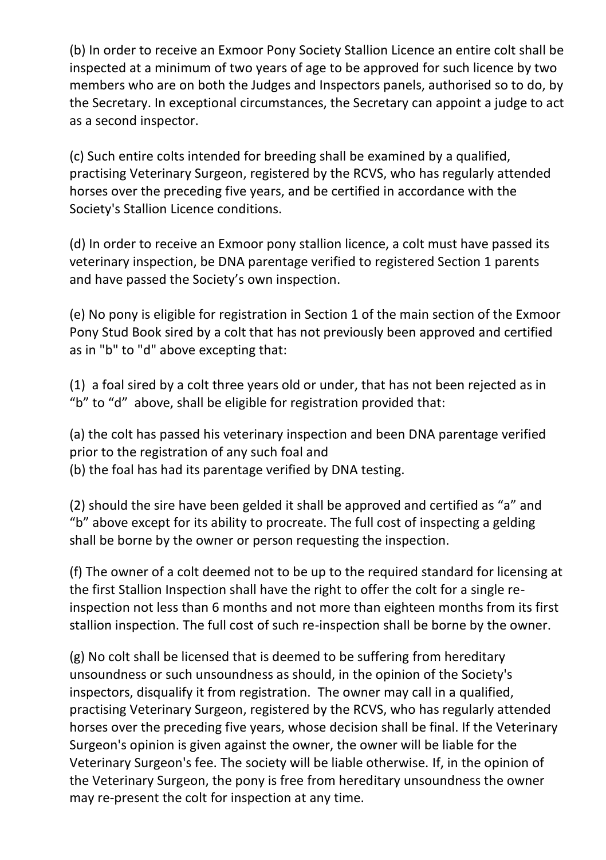(b) In order to receive an Exmoor Pony Society Stallion Licence an entire colt shall be inspected at a minimum of two years of age to be approved for such licence by two members who are on both the Judges and Inspectors panels, authorised so to do, by the Secretary. In exceptional circumstances, the Secretary can appoint a judge to act as a second inspector.

(c) Such entire colts intended for breeding shall be examined by a qualified, practising Veterinary Surgeon, registered by the RCVS, who has regularly attended horses over the preceding five years, and be certified in accordance with the Society's Stallion Licence conditions.

(d) In order to receive an Exmoor pony stallion licence, a colt must have passed its veterinary inspection, be DNA parentage verified to registered Section 1 parents and have passed the Society's own inspection.

(e) No pony is eligible for registration in Section 1 of the main section of the Exmoor Pony Stud Book sired by a colt that has not previously been approved and certified as in "b" to "d" above excepting that:

(1) a foal sired by a colt three years old or under, that has not been rejected as in "b" to "d" above, shall be eligible for registration provided that:

(a) the colt has passed his veterinary inspection and been DNA parentage verified prior to the registration of any such foal and

(b) the foal has had its parentage verified by DNA testing.

(2) should the sire have been gelded it shall be approved and certified as "a" and "b" above except for its ability to procreate. The full cost of inspecting a gelding shall be borne by the owner or person requesting the inspection.

(f) The owner of a colt deemed not to be up to the required standard for licensing at the first Stallion Inspection shall have the right to offer the colt for a single reinspection not less than 6 months and not more than eighteen months from its first stallion inspection. The full cost of such re-inspection shall be borne by the owner.

(g) No colt shall be licensed that is deemed to be suffering from hereditary unsoundness or such unsoundness as should, in the opinion of the Society's inspectors, disqualify it from registration. The owner may call in a qualified, practising Veterinary Surgeon, registered by the RCVS, who has regularly attended horses over the preceding five years, whose decision shall be final. If the Veterinary Surgeon's opinion is given against the owner, the owner will be liable for the Veterinary Surgeon's fee. The society will be liable otherwise. If, in the opinion of the Veterinary Surgeon, the pony is free from hereditary unsoundness the owner may re-present the colt for inspection at any time.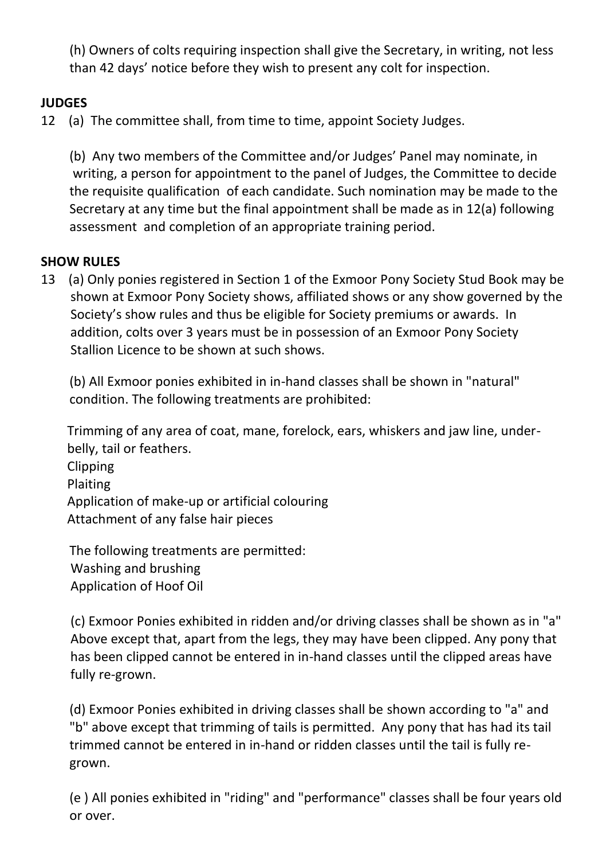(h) Owners of colts requiring inspection shall give the Secretary, in writing, not less than 42 days' notice before they wish to present any colt for inspection.

# **JUDGES**

12 (a) The committee shall, from time to time, appoint Society Judges.

(b) Any two members of the Committee and/or Judges' Panel may nominate, in writing, a person for appointment to the panel of Judges, the Committee to decide the requisite qualification of each candidate. Such nomination may be made to the Secretary at any time but the final appointment shall be made as in 12(a) following assessment and completion of an appropriate training period.

### **SHOW RULES**

13 (a) Only ponies registered in Section 1 of the Exmoor Pony Society Stud Book may be shown at Exmoor Pony Society shows, affiliated shows or any show governed by the Society's show rules and thus be eligible for Society premiums or awards. In addition, colts over 3 years must be in possession of an Exmoor Pony Society Stallion Licence to be shown at such shows.

(b) All Exmoor ponies exhibited in in-hand classes shall be shown in "natural" condition. The following treatments are prohibited:

 Trimming of any area of coat, mane, forelock, ears, whiskers and jaw line, under belly, tail or feathers.

 Clipping Plaiting Application of make-up or artificial colouring Attachment of any false hair pieces

The following treatments are permitted: Washing and brushing Application of Hoof Oil

 (c) Exmoor Ponies exhibited in ridden and/or driving classes shall be shown as in "a" Above except that, apart from the legs, they may have been clipped. Any pony that has been clipped cannot be entered in in-hand classes until the clipped areas have fully re-grown.

(d) Exmoor Ponies exhibited in driving classes shall be shown according to "a" and "b" above except that trimming of tails is permitted. Any pony that has had its tail trimmed cannot be entered in in-hand or ridden classes until the tail is fully regrown.

(e ) All ponies exhibited in "riding" and "performance" classes shall be four years old or over.